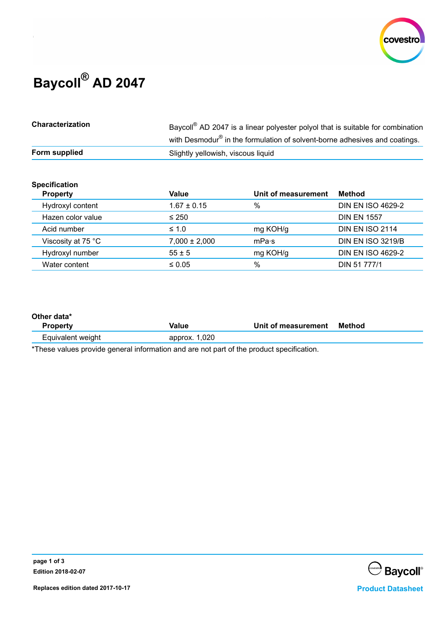

## **Baycoll® AD 2047**

## **Specification**

| <b>Property</b>    | Value             | Unit of measurement | Method                   |
|--------------------|-------------------|---------------------|--------------------------|
| Hydroxyl content   | $1.67 \pm 0.15$   | $\%$                | <b>DIN EN ISO 4629-2</b> |
| Hazen color value  | $\leq 250$        |                     | <b>DIN EN 1557</b>       |
| Acid number        | $\leq 1.0$        | mg KOH/g            | <b>DIN EN ISO 2114</b>   |
| Viscosity at 75 °C | $7,000 \pm 2,000$ | mPa·s               | <b>DIN EN ISO 3219/B</b> |
| Hydroxyl number    | $55 \pm 5$        | mg KOH/g            | <b>DIN EN ISO 4629-2</b> |
| Water content      | $\leq 0.05$       | $\%$                | DIN 51 777/1             |

| Other data*<br><b>Property</b> | Value         | Unit of measurement | Method |
|--------------------------------|---------------|---------------------|--------|
| Equivalent weight              | approx. 1,020 |                     |        |

\*These values provide general information and are not part of the product specification.



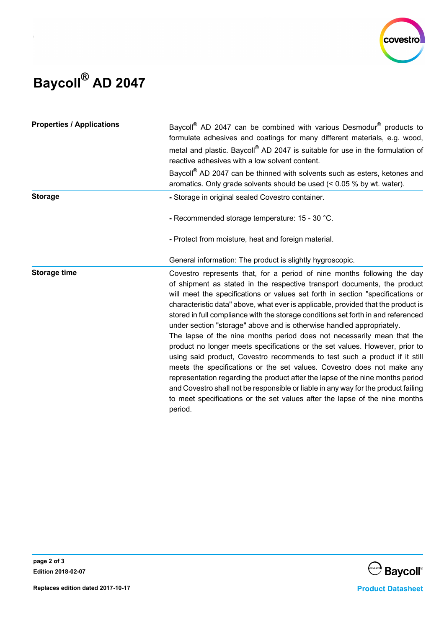

## **Baycoll® AD 2047**

| <b>Properties / Applications</b> | Baycoll <sup>®</sup> AD 2047 can be combined with various Desmodur <sup>®</sup> products to<br>formulate adhesives and coatings for many different materials, e.g. wood,                                                                                                                                                                                                                                                                                                                                                                                                                                                                                                                                                                                                                                                                                                                                                                                                                                                                                                    |  |  |  |
|----------------------------------|-----------------------------------------------------------------------------------------------------------------------------------------------------------------------------------------------------------------------------------------------------------------------------------------------------------------------------------------------------------------------------------------------------------------------------------------------------------------------------------------------------------------------------------------------------------------------------------------------------------------------------------------------------------------------------------------------------------------------------------------------------------------------------------------------------------------------------------------------------------------------------------------------------------------------------------------------------------------------------------------------------------------------------------------------------------------------------|--|--|--|
|                                  | metal and plastic. Baycoll® AD 2047 is suitable for use in the formulation of<br>reactive adhesives with a low solvent content.                                                                                                                                                                                                                                                                                                                                                                                                                                                                                                                                                                                                                                                                                                                                                                                                                                                                                                                                             |  |  |  |
|                                  | Baycoll® AD 2047 can be thinned with solvents such as esters, ketones and<br>aromatics. Only grade solvents should be used (< 0.05 % by wt. water).                                                                                                                                                                                                                                                                                                                                                                                                                                                                                                                                                                                                                                                                                                                                                                                                                                                                                                                         |  |  |  |
| <b>Storage</b>                   | - Storage in original sealed Covestro container.                                                                                                                                                                                                                                                                                                                                                                                                                                                                                                                                                                                                                                                                                                                                                                                                                                                                                                                                                                                                                            |  |  |  |
|                                  | - Recommended storage temperature: 15 - 30 °C.                                                                                                                                                                                                                                                                                                                                                                                                                                                                                                                                                                                                                                                                                                                                                                                                                                                                                                                                                                                                                              |  |  |  |
|                                  | - Protect from moisture, heat and foreign material.                                                                                                                                                                                                                                                                                                                                                                                                                                                                                                                                                                                                                                                                                                                                                                                                                                                                                                                                                                                                                         |  |  |  |
|                                  | General information: The product is slightly hygroscopic.                                                                                                                                                                                                                                                                                                                                                                                                                                                                                                                                                                                                                                                                                                                                                                                                                                                                                                                                                                                                                   |  |  |  |
| <b>Storage time</b>              | Covestro represents that, for a period of nine months following the day<br>of shipment as stated in the respective transport documents, the product<br>will meet the specifications or values set forth in section "specifications or<br>characteristic data" above, what ever is applicable, provided that the product is<br>stored in full compliance with the storage conditions set forth in and referenced<br>under section "storage" above and is otherwise handled appropriately.<br>The lapse of the nine months period does not necessarily mean that the<br>product no longer meets specifications or the set values. However, prior to<br>using said product, Covestro recommends to test such a product if it still<br>meets the specifications or the set values. Covestro does not make any<br>representation regarding the product after the lapse of the nine months period<br>and Covestro shall not be responsible or liable in any way for the product failing<br>to meet specifications or the set values after the lapse of the nine months<br>period. |  |  |  |

**Covestro** Baycoll<sup>®</sup>